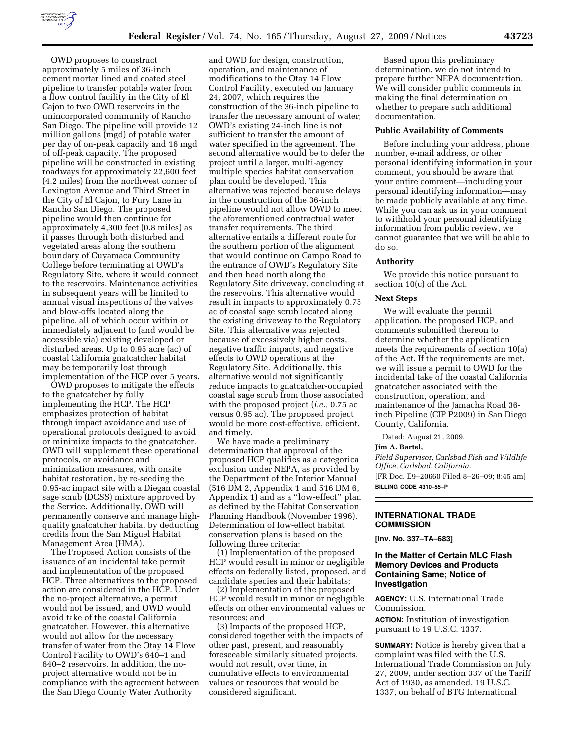

OWD proposes to construct approximately 5 miles of 36-inch cement mortar lined and coated steel pipeline to transfer potable water from a flow control facility in the City of El Cajon to two OWD reservoirs in the unincorporated community of Rancho San Diego. The pipeline will provide 12 million gallons (mgd) of potable water per day of on-peak capacity and 16 mgd of off-peak capacity. The proposed pipeline will be constructed in existing roadways for approximately 22,600 feet (4.2 miles) from the northwest corner of Lexington Avenue and Third Street in the City of El Cajon, to Fury Lane in Rancho San Diego. The proposed pipeline would then continue for approximately 4,300 feet (0.8 miles) as it passes through both disturbed and vegetated areas along the southern boundary of Cuyamaca Community College before terminating at OWD's Regulatory Site, where it would connect to the reservoirs. Maintenance activities in subsequent years will be limited to annual visual inspections of the valves and blow-offs located along the pipeline, all of which occur within or immediately adjacent to (and would be accessible via) existing developed or disturbed areas. Up to 0.95 acre (ac) of coastal California gnatcatcher habitat may be temporarily lost through implementation of the HCP over 5 years.

OWD proposes to mitigate the effects to the gnatcatcher by fully implementing the HCP. The HCP emphasizes protection of habitat through impact avoidance and use of operational protocols designed to avoid or minimize impacts to the gnatcatcher. OWD will supplement these operational protocols, or avoidance and minimization measures, with onsite habitat restoration, by re-seeding the 0.95-ac impact site with a Diegan coastal sage scrub (DCSS) mixture approved by the Service. Additionally, OWD will permanently conserve and manage highquality gnatcatcher habitat by deducting credits from the San Miguel Habitat Management Area (HMA).

The Proposed Action consists of the issuance of an incidental take permit and implementation of the proposed HCP. Three alternatives to the proposed action are considered in the HCP. Under the no-project alternative, a permit would not be issued, and OWD would avoid take of the coastal California gnatcatcher. However, this alternative would not allow for the necessary transfer of water from the Otay 14 Flow Control Facility to OWD's 640–1 and 640–2 reservoirs. In addition, the noproject alternative would not be in compliance with the agreement between the San Diego County Water Authority

and OWD for design, construction, operation, and maintenance of modifications to the Otay 14 Flow Control Facility, executed on January 24, 2007, which requires the construction of the 36-inch pipeline to transfer the necessary amount of water; OWD's existing 24-inch line is not sufficient to transfer the amount of water specified in the agreement. The second alternative would be to defer the project until a larger, multi-agency multiple species habitat conservation plan could be developed. This alternative was rejected because delays in the construction of the 36-inch pipeline would not allow OWD to meet the aforementioned contractual water transfer requirements. The third alternative entails a different route for the southern portion of the alignment that would continue on Campo Road to the entrance of OWD's Regulatory Site and then head north along the Regulatory Site driveway, concluding at the reservoirs. This alternative would result in impacts to approximately 0.75 ac of coastal sage scrub located along the existing driveway to the Regulatory Site. This alternative was rejected because of excessively higher costs, negative traffic impacts, and negative effects to OWD operations at the Regulatory Site. Additionally, this alternative would not significantly reduce impacts to gnatcatcher-occupied coastal sage scrub from those associated with the proposed project (*i.e.,* 0.75 ac versus 0.95 ac). The proposed project would be more cost-effective, efficient, and timely.

We have made a preliminary determination that approval of the proposed HCP qualifies as a categorical exclusion under NEPA, as provided by the Department of the Interior Manual (516 DM 2, Appendix 1 and 516 DM 6, Appendix 1) and as a ''low-effect'' plan as defined by the Habitat Conservation Planning Handbook (November 1996). Determination of low-effect habitat conservation plans is based on the following three criteria:

(1) Implementation of the proposed HCP would result in minor or negligible effects on federally listed, proposed, and candidate species and their habitats;

(2) Implementation of the proposed HCP would result in minor or negligible effects on other environmental values or resources; and

(3) Impacts of the proposed HCP, considered together with the impacts of other past, present, and reasonably foreseeable similarly situated projects, would not result, over time, in cumulative effects to environmental values or resources that would be considered significant.

Based upon this preliminary determination, we do not intend to prepare further NEPA documentation. We will consider public comments in making the final determination on whether to prepare such additional documentation.

### **Public Availability of Comments**

Before including your address, phone number, e-mail address, or other personal identifying information in your comment, you should be aware that your entire comment—including your personal identifying information—may be made publicly available at any time. While you can ask us in your comment to withhold your personal identifying information from public review, we cannot guarantee that we will be able to do so.

### **Authority**

We provide this notice pursuant to section 10(c) of the Act.

## **Next Steps**

We will evaluate the permit application, the proposed HCP, and comments submitted thereon to determine whether the application meets the requirements of section 10(a) of the Act. If the requirements are met, we will issue a permit to OWD for the incidental take of the coastal California gnatcatcher associated with the construction, operation, and maintenance of the Jamacha Road 36 inch Pipeline (CIP P2009) in San Diego County, California.

Dated: August 21, 2009.

### **Jim A. Bartel,**

*Field Supervisor, Carlsbad Fish and Wildlife Office, Carlsbad, California.*  [FR Doc. E9–20660 Filed 8–26–09; 8:45 am] **BILLING CODE 4310–55–P** 

### **INTERNATIONAL TRADE COMMISSION**

**[Inv. No. 337–TA–683]** 

## **In the Matter of Certain MLC Flash Memory Devices and Products Containing Same; Notice of Investigation**

**AGENCY:** U.S. International Trade Commission.

**ACTION:** Institution of investigation pursuant to 19 U.S.C. 1337.

**SUMMARY:** Notice is hereby given that a complaint was filed with the U.S. International Trade Commission on July 27, 2009, under section 337 of the Tariff Act of 1930, as amended, 19 U.S.C. 1337, on behalf of BTG International